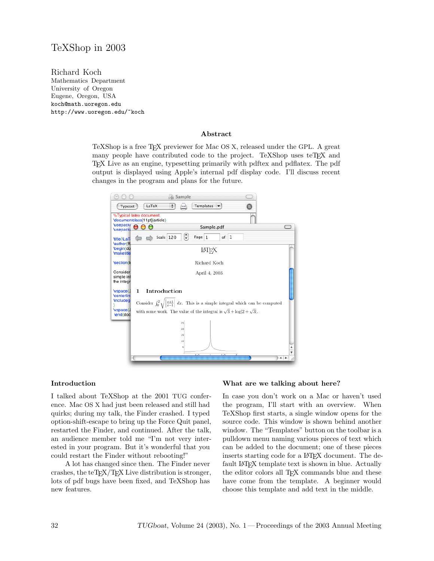# TeXShop in 2003

Richard Koch Mathematics Department University of Oregon Eugene, Oregon, USA koch@math.uoregon.edu http://www.uoregon.edu/~koch

#### Abstract

TeXShop is a free TEX previewer for Mac OS X, released under the GPL. A great many people have contributed code to the project. TeXShop uses teTEX and TEX Live as an engine, typesetting primarily with pdftex and pdflatex. The pdf output is displayed using Apple's internal pdf display code. I'll discuss recent changes in the program and plans for the future.



#### Introduction

I talked about TeXShop at the 2001 TUG conference. Mac OS X had just been released and still had quirks; during my talk, the Finder crashed. I typed option-shift-escape to bring up the Force Quit panel, restarted the Finder, and continued. After the talk, an audience member told me "I'm not very interested in your program. But it's wonderful that you could restart the Finder without rebooting!"

A lot has changed since then. The Finder never crashes, the teT $\overline{F}X/\overline{F}X$  Live distribution is stronger, lots of pdf bugs have been fixed, and TeXShop has new features.

#### What are we talking about here?

In case you don't work on a Mac or haven't used the program, I'll start with an overview. When TeXShop first starts, a single window opens for the source code. This window is shown behind another window. The "Templates" button on the toolbar is a pulldown menu naming various pieces of text which can be added to the document; one of these pieces inserts starting code for a L<sup>AT</sup>EX document. The default LAT<sub>E</sub>X template text is shown in blue. Actually the editor colors all TEX commands blue and these have come from the template. A beginner would choose this template and add text in the middle.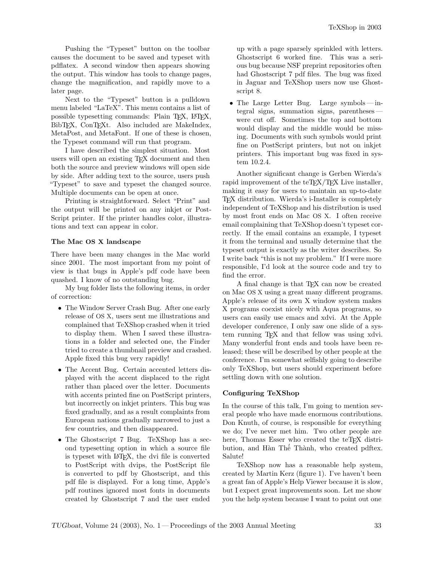Pushing the "Typeset" button on the toolbar causes the document to be saved and typeset with pdflatex. A second window then appears showing the output. This window has tools to change pages, change the magnification, and rapidly move to a later page.

Next to the "Typeset" button is a pulldown menu labeled "LaTeX". This menu contains a list of possible typesetting commands: Plain TEX, LATEX, BibT<sub>EX</sub>, ConT<sub>EX</sub>t. Also included are MakeIndex, MetaPost, and MetaFont. If one of these is chosen, the Typeset command will run that program.

I have described the simplest situation. Most users will open an existing T<sub>EX</sub> document and then both the source and preview windows will open side by side. After adding text to the source, users push "Typeset" to save and typeset the changed source. Multiple documents can be open at once.

Printing is straightforward. Select "Print" and the output will be printed on any inkjet or Post-Script printer. If the printer handles color, illustrations and text can appear in color.

### The Mac OS X landscape

There have been many changes in the Mac world since 2001. The most important from my point of view is that bugs in Apple's pdf code have been quashed. I know of no outstanding bug.

My bug folder lists the following items, in order of correction:

- The Window Server Crash Bug. After one early release of OS X, users sent me illustrations and complained that TeXShop crashed when it tried to display them. When I saved these illustrations in a folder and selected one, the Finder tried to create a thumbnail preview and crashed. Apple fixed this bug very rapidly!
- The Accent Bug. Certain accented letters displayed with the accent displaced to the right rather than placed over the letter. Documents with accents printed fine on PostScript printers, but incorrectly on inkjet printers. This bug was fixed gradually, and as a result complaints from European nations gradually narrowed to just a few countries, and then disappeared.
- The Ghostscript 7 Bug. TeXShop has a second typesetting option in which a source file is typeset with LATEX, the dvi file is converted to PostScript with dvips, the PostScript file is converted to pdf by Ghostscript, and this pdf file is displayed. For a long time, Apple's pdf routines ignored most fonts in documents created by Ghostscript 7 and the user ended

up with a page sparsely sprinkled with letters. Ghostscript 6 worked fine. This was a serious bug because NSF preprint repositories often had Ghostscript 7 pdf files. The bug was fixed in Jaguar and TeXShop users now use Ghostscript 8.

• The Large Letter Bug. Large symbols — integral signs, summation signs, parentheses were cut off. Sometimes the top and bottom would display and the middle would be missing. Documents with such symbols would print fine on PostScript printers, but not on inkjet printers. This important bug was fixed in system 10.2.4.

Another significant change is Gerben Wierda's rapid improvement of the teTEX/TEX Live installer, making it easy for users to maintain an up-to-date TEX distribution. Wierda's i-Installer is completely independent of TeXShop and his distribution is used by most front ends on Mac OS X. I often receive email complaining that TeXShop doesn't typeset correctly. If the email contains an example, I typeset it from the terminal and usually determine that the typeset output is exactly as the writer describes. So I write back "this is not my problem." If I were more responsible, I'd look at the source code and try to find the error.

A final change is that TEX can now be created on Mac OS X using a great many different programs. Apple's release of its own X window system makes X programs coexist nicely with Aqua programs, so users can easily use emacs and xdvi. At the Apple developer conference, I only saw one slide of a system running T<sub>EX</sub> and that fellow was using xdvi. Many wonderful front ends and tools have been released; these will be described by other people at the conference. I'm somewhat selfishly going to describe only TeXShop, but users should experiment before settling down with one solution.

### Configuring TeXShop

In the course of this talk, I'm going to mention several people who have made enormous contributions. Don Knuth, of course, is responsible for everything we do; I've never met him. Two other people are here, Thomas Esser who created the teTFX distribution, and Hàn Thế Thành, who created pdftex. Salute!

TeXShop now has a reasonable help system, created by Martin Kerz (figure 1). I've haven't been a great fan of Apple's Help Viewer because it is slow, but I expect great improvements soon. Let me show you the help system because I want to point out one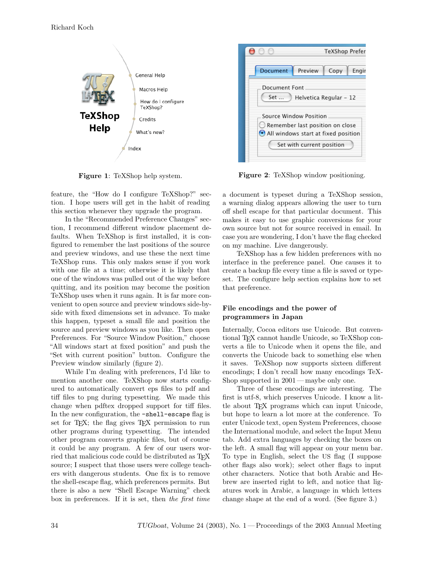

Figure 1: TeXShop help system.

feature, the "How do I configure TeXShop?" section. I hope users will get in the habit of reading this section whenever they upgrade the program.

In the "Recommended Preference Changes" section, I recommend different window placement defaults. When TeXShop is first installed, it is configured to remember the last positions of the source and preview windows, and use these the next time TeXShop runs. This only makes sense if you work with one file at a time; otherwise it is likely that one of the windows was pulled out of the way before quitting, and its position may become the position TeXShop uses when it runs again. It is far more convenient to open source and preview windows side-byside with fixed dimensions set in advance. To make this happen, typeset a small file and position the source and preview windows as you like. Then open Preferences. For "Source Window Position," choose "All windows start at fixed position" and push the "Set with current position" button. Configure the Preview window similarly (figure 2).

While I'm dealing with preferences, I'd like to mention another one. TeXShop now starts configured to automatically convert eps files to pdf and tiff files to png during typesetting. We made this change when pdftex dropped support for tiff files. In the new configuration, the -shell-escape flag is set for T<sub>E</sub>X; the flag gives T<sub>E</sub>X permission to run other programs during typesetting. The intended other program converts graphic files, but of course it could be any program. A few of our users worried that malicious code could be distributed as TEX source; I suspect that those users were college teachers with dangerous students. One fix is to remove the shell-escape flag, which preferences permits. But there is also a new "Shell Escape Warning" check box in preferences. If it is set, then the first time



Figure 2: TeXShop window positioning.

a document is typeset during a TeXShop session, a warning dialog appears allowing the user to turn off shell escape for that particular document. This makes it easy to use graphic conversions for your own source but not for source received in email. In case you are wondering, I don't have the flag checked on my machine. Live dangerously.

TeXShop has a few hidden preferences with no interface in the preference panel. One causes it to create a backup file every time a file is saved or typeset. The configure help section explains how to set that preference.

# File encodings and the power of programmers in Japan

Internally, Cocoa editors use Unicode. But conventional TEX cannot handle Unicode, so TeXShop converts a file to Unicode when it opens the file, and converts the Unicode back to something else when it saves. TeXShop now supports sixteen different encodings; I don't recall how many encodings TeX-Shop supported in  $2001$  — maybe only one.

Three of these encodings are interesting. The first is utf-8, which preserves Unicode. I know a little about TEX programs which can input Unicode, but hope to learn a lot more at the conference. To enter Unicode text, open System Preferences, choose the International module, and select the Input Menu tab. Add extra languages by checking the boxes on the left. A small flag will appear on your menu bar. To type in English, select the US flag (I suppose other flags also work); select other flags to input other characters. Notice that both Arabic and Hebrew are inserted right to left, and notice that ligatures work in Arabic, a language in which letters change shape at the end of a word. (See figure 3.)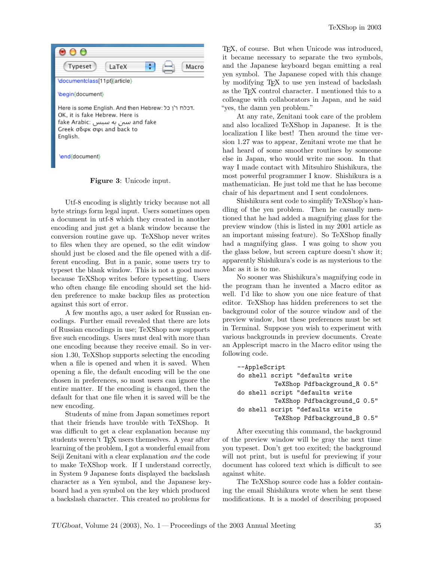

Figure 3: Unicode input.

Utf-8 encoding is slightly tricky because not all byte strings form legal input. Users sometimes open a document in utf-8 which they created in another encoding and just get a blank window because the conversion routine gave up. TeXShop never writes to files when they are opened, so the edit window should just be closed and the file opened with a different encoding. But in a panic, some users try to typeset the blank window. This is not a good move because TeXShop writes before typesetting. Users who often change file encoding should set the hidden preference to make backup files as protection against this sort of error.

A few months ago, a user asked for Russian encodings. Further email revealed that there are lots of Russian encodings in use; TeXShop now supports five such encodings. Users must deal with more than one encoding because they receive email. So in version 1.30, TeXShop supports selecting the encoding when a file is opened and when it is saved. When opening a file, the default encoding will be the one chosen in preferences, so most users can ignore the entire matter. If the encoding is changed, then the default for that one file when it is saved will be the new encoding.

Students of mine from Japan sometimes report that their friends have trouble with TeXShop. It was difficult to get a clear explanation because my students weren't TEX users themselves. A year after learning of the problem, I got a wonderful email from Seiji Zenitani with a clear explanation and the code to make TeXShop work. If I understand correctly, in System 9 Japanese fonts displayed the backslash character as a Yen symbol, and the Japanese keyboard had a yen symbol on the key which produced a backslash character. This created no problems for

TEX, of course. But when Unicode was introduced, it became necessary to separate the two symbols, and the Japanese keyboard began emitting a real yen symbol. The Japanese coped with this change by modifying TEX to use yen instead of backslash as the TEX control character. I mentioned this to a colleague with collaborators in Japan, and he said "yes, the damn yen problem."

At any rate, Zenitani took care of the problem and also localized TeXShop in Japanese. It is the localization I like best! Then around the time version 1.27 was to appear, Zenitani wrote me that he had heard of some smoother routines by someone else in Japan, who would write me soon. In that way I made contact with Mitsuhiro Shishikura, the most powerful programmer I know. Shishikura is a mathematician. He just told me that he has become chair of his department and I sent condolences.

Shishikura sent code to simplify TeXShop's handling of the yen problem. Then he casually mentioned that he had added a magnifying glass for the preview window (this is listed in my 2001 article as an important missing feature). So TeXShop finally had a magnifying glass. I was going to show you the glass below, but screen capture doesn't show it; apparently Shishikura's code is as mysterious to the Mac as it is to me.

No sooner was Shishikura's magnifying code in the program than he invented a Macro editor as well. I'd like to show you one nice feature of that editor. TeXShop has hidden preferences to set the background color of the source window and of the preview window, but these preferences must be set in Terminal. Suppose you wish to experiment with various backgrounds in preview documents. Create an Applescript macro in the Macro editor using the following code.

```
--AppleScript
do shell script "defaults write
          TeXShop Pdfbackground_R 0.5"
do shell script "defaults write
          TeXShop Pdfbackground_G 0.5"
do shell script "defaults write
          TeXShop Pdfbackground_B 0.5"
```
After executing this command, the background of the preview window will be gray the next time you typeset. Don't get too excited; the background will not print, but is useful for previewing if your document has colored text which is difficult to see against white.

The TeXShop source code has a folder containing the email Shishikura wrote when he sent these modifications. It is a model of describing proposed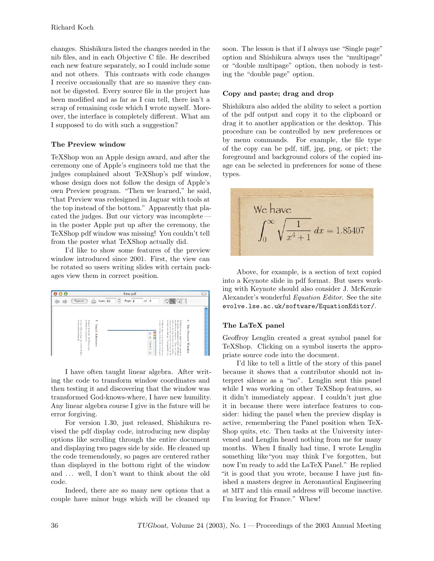changes. Shishikura listed the changes needed in the nib files, and in each Objective C file. He described each new feature separately, so I could include some and not others. This contrasts with code changes I receive occasionally that are so massive they cannot be digested. Every source file in the project has been modified and as far as I can tell, there isn't a scrap of remaining code which I wrote myself. Moreover, the interface is completely different. What am I supposed to do with such a suggestion?

# The Preview window

TeXShop won an Apple design award, and after the ceremony one of Apple's engineers told me that the judges complained about TeXShop's pdf window, whose design does not follow the design of Apple's own Preview program. "Then we learned," he said, "that Preview was redesigned in Jaguar with tools at the top instead of the bottom." Apparently that placated the judges. But our victory was incomplete in the poster Apple put up after the ceremony, the TeXShop pdf window was missing! You couldn't tell from the poster what TeXShop actually did.

I'd like to show some features of the preview window introduced since 2001. First, the view can be rotated so users writing slides with certain packages view them in correct position.

|                                                                                      |                                                                                                                        |          | First.pdf   |                               |                                                                                                                                                                                                                                                                                                                                                                                                                                   |                            |
|--------------------------------------------------------------------------------------|------------------------------------------------------------------------------------------------------------------------|----------|-------------|-------------------------------|-----------------------------------------------------------------------------------------------------------------------------------------------------------------------------------------------------------------------------------------------------------------------------------------------------------------------------------------------------------------------------------------------------------------------------------|----------------------------|
| Typeset                                                                              | -                                                                                                                      | Scale 80 | ۰<br>Page 8 | 8<br>of                       | 2n<br>œ<br>Q                                                                                                                                                                                                                                                                                                                                                                                                                      |                            |
| Gerben<br><b>Gerbean</b><br>WeedaWran<br>Wierda (only for<br>Ë<br><b>wIcX/TcXLib</b> | Richard<br>koch film ath. uoregon ed u<br>$\overline{\phantom{a}}$<br>Email<br>Koch (for<br>Addresses<br>TeXStop bugs) |          |             | û<br>s<br>999<br>assaul_<br>¢ | so users<br>own Previe<br>I'd like to show some feat ures of this wit<br>$_{\rm{bols}}$ as<br>the judges complained<br>window<br>victory was not comple<br>TeXShop won an Apple design<br><b>Bitm</b><br>Ę<br>writing slides with<br>top instead of the bottom<br>missing. Consequently, you<br>urerSoud<br>the because in the<br>about<br>usq.L.<br>certain<br>$\sqrt{\text{RMStop}}$<br>award, a:<br>we learn<br>$\overline{8}$ | ۰<br>The Preview<br>Window |

I have often taught linear algebra. After writing the code to transform window coordinates and then testing it and discovering that the window was transformed God-knows-where, I have new humility. Any linear algebra course I give in the future will be error forgiving.

For version 1.30, just released, Shishikura revised the pdf display code, introducing new display options like scrolling through the entire document and displaying two pages side by side. He cleaned up the code tremendously, so pages are centered rather than displayed in the bottom right of the window and ... well, I don't want to think about the old code.

Indeed, there are so many new options that a couple have minor bugs which will be cleaned up

soon. The lesson is that if I always use "Single page" option and Shishikura always uses the "multipage" or "double multipage" option, then nobody is testing the "double page" option.

## Copy and paste; drag and drop

Shishikura also added the ability to select a portion of the pdf output and copy it to the clipboard or drag it to another application or the desktop. This procedure can be controlled by new preferences or by menu commands. For example, the file type of the copy can be pdf, tiff, jpg, png, or pict; the foreground and background colors of the copied image can be selected in preferences for some of these types.



Above, for example, is a section of text copied into a Keynote slide in pdf format. But users working with Keynote should also consider J. McKenzie Alexander's wonderful Equation Editor. See the site evolve.lse.ac.uk/software/EquationEditor/.

# The LaTeX panel

Geoffroy Lenglin created a great symbol panel for TeXShop. Clicking on a symbol inserts the appropriate source code into the document.

I'd like to tell a little of the story of this panel because it shows that a contributor should not interpret silence as a "no". Lenglin sent this panel while I was working on other TeXShop features, so it didn't immediately appear. I couldn't just glue it in because there were interface features to consider: hiding the panel when the preview display is active, remembering the Panel position when TeX-Shop quits, etc. Then tasks at the University intervened and Lenglin heard nothing from me for many months. When I finally had time, I wrote Lenglin something like"you may think I've forgotten, but now I'm ready to add the LaTeX Panel." He replied "it is good that you wrote, because I have just finished a masters degree in Aeronautical Engineering at MIT and this email address will become inactive. I'm leaving for France." Whew!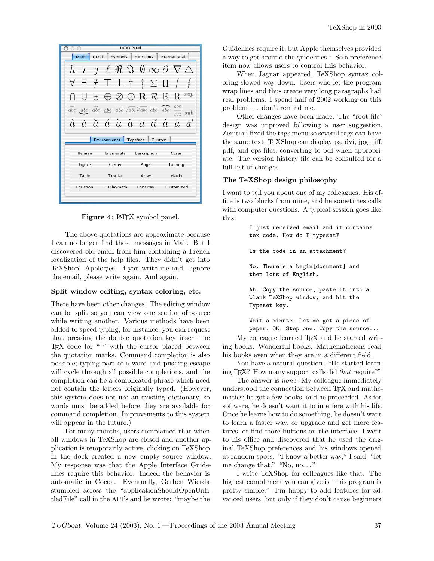| LaTeX Panel                                                   |                                                                                                                                                                        |  |  |  |  |  |  |  |  |
|---------------------------------------------------------------|------------------------------------------------------------------------------------------------------------------------------------------------------------------------|--|--|--|--|--|--|--|--|
| Math<br>Greek<br>Symbols<br><b>Functions</b><br>International |                                                                                                                                                                        |  |  |  |  |  |  |  |  |
| ħ<br>$\overline{1}$<br>ı                                      | $\ell \mathrel{{\Re}} \Im \emptyset \infty \partial \nabla \triangle$                                                                                                  |  |  |  |  |  |  |  |  |
| 丑<br>A<br>⊣                                                   | $\top \perp$ † ‡ $\Sigma$ $\Pi$ /                                                                                                                                      |  |  |  |  |  |  |  |  |
| $^{[+]}$                                                      | $\bigoplus$ $\otimes$ $\bigcirc$ R R R                                                                                                                                 |  |  |  |  |  |  |  |  |
|                                                               | abc<br>$\widetilde{abc}$ abc $\widehat{abc}$ abc $\overrightarrow{abc}$ $\sqrt{abc}$ $\overrightarrow{abc}$ $\overrightarrow{abc}$ $\overrightarrow{abc}$<br>$xyz$ sub |  |  |  |  |  |  |  |  |
|                                                               | $\hat{a}$ ă ă $\hat{a}$ $\hat{a}$ $\bar{a}$ $\bar{a}$ $\vec{a}$ $\dot{a}$ $\ddot{a}$ $a'$                                                                              |  |  |  |  |  |  |  |  |
| <b>Environments</b><br>Typeface<br>Custom                     |                                                                                                                                                                        |  |  |  |  |  |  |  |  |
| Itemize                                                       | Description<br>Enumerate<br>Cases                                                                                                                                      |  |  |  |  |  |  |  |  |
| Figure                                                        | Center<br>Tabbing<br>Align                                                                                                                                             |  |  |  |  |  |  |  |  |
| Table                                                         | Tabular<br>Matrix<br>Array                                                                                                                                             |  |  |  |  |  |  |  |  |
| Equation                                                      | Displaymath<br>Customized<br>Egnarray                                                                                                                                  |  |  |  |  |  |  |  |  |
|                                                               |                                                                                                                                                                        |  |  |  |  |  |  |  |  |

Figure 4: L<sup>AT</sup>EX symbol panel.

The above quotations are approximate because I can no longer find those messages in Mail. But I discovered old email from him containing a French localization of the help files. They didn't get into TeXShop! Apologies. If you write me and I ignore the email, please write again. And again.

### Split window editing, syntax coloring, etc.

There have been other changes. The editing window can be split so you can view one section of source while writing another. Various methods have been added to speed typing; for instance, you can request that pressing the double quotation key insert the TEX code for " " with the cursor placed between the quotation marks. Command completion is also possible; typing part of a word and pushing escape will cycle through all possible completions, and the completion can be a complicated phrase which need not contain the letters originally typed. (However, this system does not use an existing dictionary, so words must be added before they are available for command completion. Improvements to this system will appear in the future.)

For many months, users complained that when all windows in TeXShop are closed and another application is temporarily active, clicking on TeXShop in the dock created a new empty source window. My response was that the Apple Interface Guidelines require this behavior. Indeed the behavior is automatic in Cocoa. Eventually, Gerben Wierda stumbled across the "applicationShouldOpenUntitledFile" call in the API's and he wrote: "maybe the Guidelines require it, but Apple themselves provided a way to get around the guidelines." So a preference item now allows users to control this behavior.

When Jaguar appeared, TeXShop syntax coloring slowed way down. Users who let the program wrap lines and thus create very long paragraphs had real problems. I spend half of 2002 working on this problem . . . don't remind me.

Other changes have been made. The "root file" design was improved following a user suggestion, Zenitani fixed the tags menu so several tags can have the same text, TeXShop can display ps, dvi, jpg, tiff, pdf, and eps files, converting to pdf when appropriate. The version history file can be consulted for a full list of changes.

#### The TeXShop design philosophy

I want to tell you about one of my colleagues. His office is two blocks from mine, and he sometimes calls with computer questions. A typical session goes like this:

> I just received email and it contains tex code. How do I typeset? Is the code in an attachment? No. There's a begin[document] and then lots of English. Ah. Copy the source, paste it into a blank TeXShop window, and hit the Typeset key.

Wait a minute. Let me get a piece of paper. OK. Step one. Copy the source...

My colleague learned T<sub>EX</sub> and he started writing books. Wonderful books. Mathematicians read his books even when they are in a different field.

You have a natural question. "He started learning TEX? How many support calls did that require?"

The answer is *none*. My colleague immediately understood the connection between TEX and mathematics; he got a few books, and he proceeded. As for software, he doesn't want it to interfere with his life. Once he learns how to do something, he doesn't want to learn a faster way, or upgrade and get more features, or find more buttons on the interface. I went to his office and discovered that he used the original TeXShop preferences and his windows opened at random spots. "I know a better way," I said, "let me change that." "No, no. . . "

I write TeXShop for colleagues like that. The highest compliment you can give is "this program is pretty simple." I'm happy to add features for advanced users, but only if they don't cause beginners